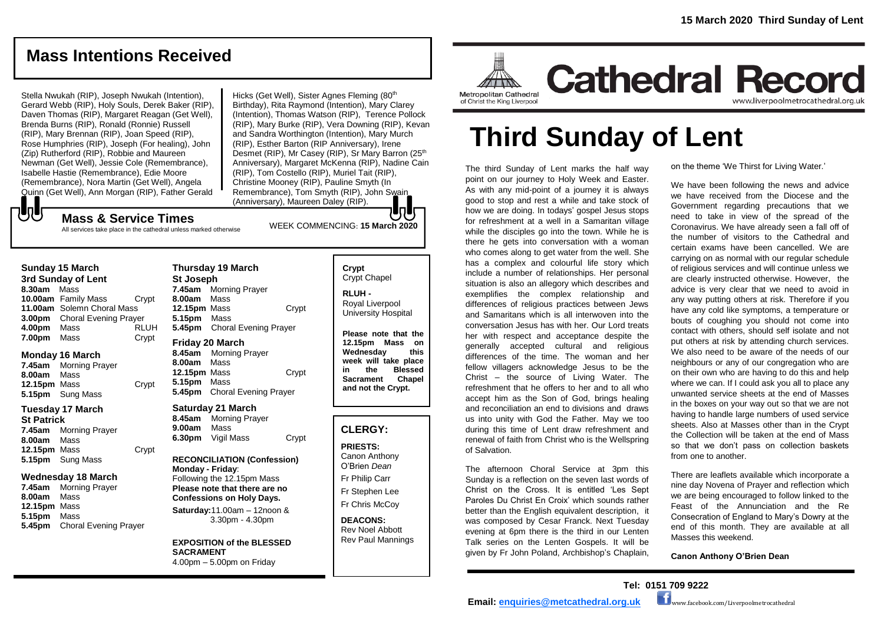# **Mass Intentions Received**

Stella Nwukah (RIP), Joseph Nwukah (Intention), Gerard Webb (RIP), Holy Souls, Derek Baker (RIP), Daven Thomas (RIP), Margaret Reagan (Get Well), Brenda Burns (RIP), Ronald (Ronnie) Russell (RIP), Mary Brennan (RIP), Joan Speed (RIP), Rose Humphries (RIP), Joseph (For healing), John (Zip) Rutherford (RIP), Robbie and Maureen Newman (Get Well), Jessie Cole (Remembrance), Isabelle Hastie (Remembrance), Edie Moore (Remembrance), Nora Martin (Get Well), Angela Quinn (Get Well), Ann Morgan (RIP), Father Gerald  ${\bf J}$ 

Hicks (Get Well), Sister Agnes Fleming (80<sup>th</sup>) Birthday), Rita Raymond (Intention), Mary Clarey (Intention), Thomas Watson (RIP), Terence Pollock (RIP), Mary Burke (RIP), Vera Downing (RIP), Kevan and Sandra Worthington (Intention), Mary Murch (RIP), Esther Barton (RIP Anniversary), Irene Desmet (RIP), Mr Casey (RIP), Sr Mary Barron (25<sup>th</sup>) Anniversary), Margaret McKenna (RIP), Nadine Cain (RIP), Tom Costello (RIP), Muriel Tait (RIP), Christine Mooney (RIP), Pauline Smyth (In Remembrance), Tom Smyth (RIP), John Swain (Anniversary), Maureen Daley (RIP).

# WEEK COMMENCING: **<sup>15</sup> March <sup>2020</sup> Mass & Service Times**

All services take place in the cathedral unless marked otherwise

|                    | <b>Sunday 15 March</b>              |       |  |
|--------------------|-------------------------------------|-------|--|
| 3rd Sunday of Lent |                                     |       |  |
| 8.30am Mass        |                                     |       |  |
|                    | <b>10.00am</b> Family Mass          | Crypt |  |
|                    | 11.00am Solemn Choral Mass          |       |  |
|                    | <b>3.00pm</b> Choral Evening Prayer |       |  |

| 3.00pm | <b>Choral Evening Prayer</b> |             |
|--------|------------------------------|-------------|
| 4.00pm | Mass                         | <b>RLUH</b> |
| 7.00pm | Mass                         | Crypt       |

#### **Monday 16 March**

**7.45am** Morning Prayer **8.00am** Mass **12.15pm** Mass Crypt **5.15pm** Sung Mass

#### **Tuesday 17 March St Patrick**

**7.45am** Morning Prayer **8.00am** Mass **12.15pm** Mass Crypt **5.15pm** Sung Mass

## **Wednesday 18 March**

**7.45am** Morning Prayer **8.00am** Mass **12.15pm** Mass **5.15pm** Mass **5.45pm** Choral Evening Prayer

# **Thursday 19 March St Joseph 7.45am** Morning Prayer **8.00am** Mass **12.15pm** Mass Crypt **5.15pm** Mass **5.45pm** Choral Evening Prayer **Friday 20 March 8.45am** Morning Prayer

**8.00am** Mass **12.15pm** Mass Crypt **5.15pm** Mass **5.45pm** Choral Evening Prayer

#### **Saturday 21 March**

**8.45am** Morning Prayer **9.00am** Mass **6.30pm** Vigil Mass Crypt

#### **RECONCILIATION (Confession) Monday - Friday**: Following the 12.15pm Mass **Please note that there are no Confessions on Holy Days.**

**Saturday:**11.00am – 12noon & 3.30pm - 4.30pm

#### **EXPOSITION of the BLESSED SACRAMENT** 4.00pm – 5.00pm on Friday

# **Crypt**  Crypt Chapel

**RLUH -** Royal Liverpool University Hospital

**Please note that the 12.15pm Mass on Wednesday this week will take place in the Blessed Sacrament Chapel and not the Crypt.**

# **CLERGY:**

**PRIESTS:** Canon Anthony O'Brien *Dean*

Fr Philip Carr Fr Stephen Lee Fr Chris McCoy

#### **DEACONS:** Rev Noel Abbott Rev Paul Mannings



**Cathedral Record** www.liverpoolmetrocathedral.org.uk

of Christ the King Liverpool

# **Third Sunday of Lent**

The third Sunday of Lent marks the half way point on our journey to Holy Week and Easter. As with any mid-point of a journey it is always good to stop and rest a while and take stock of how we are doing. In todays' gospel Jesus stops for refreshment at a well in a Samaritan village while the disciples go into the town. While he is there he gets into conversation with a woman who comes along to get water from the well. She has a complex and colourful life story which include a number of relationships. Her personal situation is also an allegory which describes and exemplifies the complex relationship and differences of religious practices between Jews and Samaritans which is all interwoven into the conversation Jesus has with her. Our Lord treats her with respect and acceptance despite the generally accepted cultural and religious differences of the time. The woman and her fellow villagers acknowledge Jesus to be the Christ – the source of Living Water. The refreshment that he offers to her and to all who accept him as the Son of God, brings healing and reconciliation an end to divisions and draws us into unity with God the Father. May we too during this time of Lent draw refreshment and renewal of faith from Christ who is the Wellspring of Salvation.

The afternoon Choral Service at 3pm this Sunday is a reflection on the seven last words of Christ on the Cross. It is entitled 'Les Sept Paroles Du Christ En Croix' which sounds rather better than the English equivalent description, it was composed by Cesar Franck. Next Tuesday evening at 6pm there is the third in our Lenten Talk series on the Lenten Gospels. It will be given by Fr John Poland, Archbishop's Chaplain,

on the theme 'We Thirst for Living Water.'

We have been following the news and advice we have received from the Diocese and the Government regarding precautions that we need to take in view of the spread of the Coronavirus. We have already seen a fall off of the number of visitors to the Cathedral and certain exams have been cancelled. We are carrying on as normal with our regular schedule of religious services and will continue unless we are clearly instructed otherwise. However, the advice is very clear that we need to avoid in any way putting others at risk. Therefore if you have any cold like symptoms, a temperature or bouts of coughing you should not come into contact with others, should self isolate and not put others at risk by attending church services. We also need to be aware of the needs of our neighbours or any of our congregation who are on their own who are having to do this and help where we can. If I could ask you all to place any unwanted service sheets at the end of Masses in the boxes on your way out so that we are not having to handle large numbers of used service sheets. Also at Masses other than in the Crypt the Collection will be taken at the end of Mass so that we don't pass on collection baskets from one to another.

There are leaflets available which incorporate a nine day Novena of Prayer and reflection which we are being encouraged to follow linked to the Feast of the Annunciation and the Re Consecration of England to Mary's Dowry at the end of this month. They are available at all Masses this weekend.

**Canon Anthony O'Brien Dean**